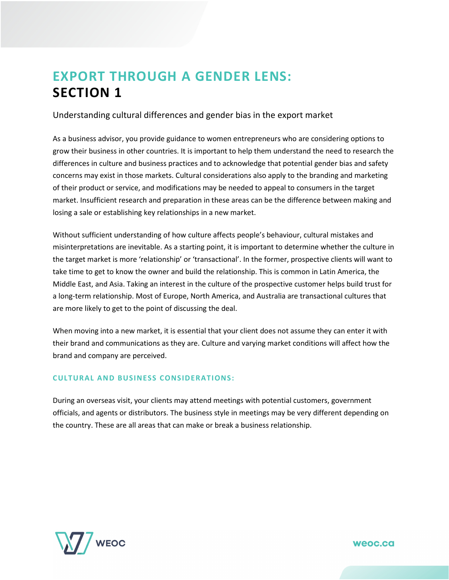## **EXPORT THROUGH A GENDER LENS: SECTION 1**

Understanding cultural differences and gender bias in the export market

As a business advisor, you provide guidance to women entrepreneurs who are considering options to grow their business in other countries. It is important to help them understand the need to research the differences in culture and business practices and to acknowledge that potential gender bias and safety concerns may exist in those markets. Cultural considerations also apply to the branding and marketing of their product or service, and modifications may be needed to appeal to consumers in the target market. Insufficient research and preparation in these areas can be the difference between making and losing a sale or establishing key relationships in a new market.

Without sufficient understanding of how culture affects people's behaviour, cultural mistakes and misinterpretations are inevitable. As a starting point, it is important to determine whether the culture in the target market is more 'relationship' or 'transactional'. In the former, prospective clients will want to take time to get to know the owner and build the relationship. This is common in Latin America, the Middle East, and Asia. Taking an interest in the culture of the prospective customer helps build trust for a long-term relationship. Most of Europe, North America, and Australia are transactional cultures that are more likely to get to the point of discussing the deal.

When moving into a new market, it is essential that your client does not assume they can enter it with their brand and communications as they are. Culture and varying market conditions will affect how the brand and company are perceived.

## **CULTURAL AND BUSINESS CONSIDERATIONS:**

During an overseas visit, your clients may attend meetings with potential customers, government officials, and agents or distributors. The business style in meetings may be very different depending on the country. These are all areas that can make or break a business relationship.

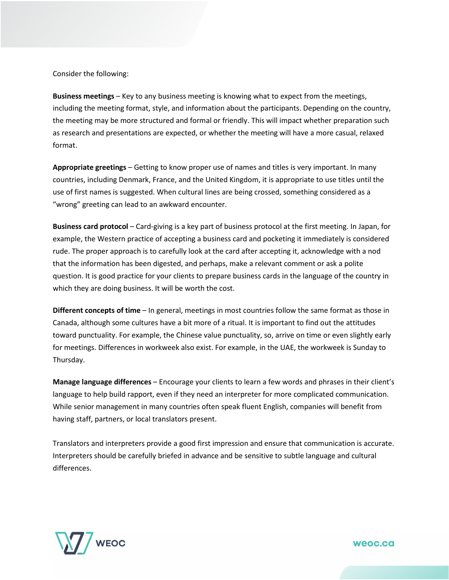Consider the following:

**Business meetings** – Key to any business meeting is knowing what to expect from the meetings, including the meeting format, style, and information about the participants. Depending on the country, the meeting may be more structured and formal or friendly. This will impact whether preparation such as research and presentations are expected, or whether the meeting will have a more casual, relaxed format.

**Appropriate greetings** – Getting to know proper use of names and titles is very important. In many countries, including Denmark, France, and the United Kingdom, it is appropriate to use titles until the use of first names is suggested. When cultural lines are being crossed, something considered as a "wrong" greeting can lead to an awkward encounter.

**Business card protocol** – Card-giving is a key part of business protocol at the first meeting. In Japan, for example, the Western practice of accepting a business card and pocketing it immediately is considered rude. The proper approach is to carefully look at the card after accepting it, acknowledge with a nod that the information has been digested, and perhaps, make a relevant comment or ask a polite question. It is good practice for your clients to prepare business cards in the language of the country in which they are doing business. It will be worth the cost.

**Different concepts of time** – In general, meetings in most countries follow the same format as those in Canada, although some cultures have a bit more of a ritual. It is important to find out the attitudes toward punctuality. For example, the Chinese value punctuality, so, arrive on time or even slightly early for meetings. Differences in workweek also exist. For example, in the UAE, the workweek is Sunday to Thursday.

**Manage language differences** – Encourage your clients to learn a few words and phrases in their client's language to help build rapport, even if they need an interpreter for more complicated communication. While senior management in many countries often speak fluent English, companies will benefit from having staff, partners, or local translators present.

Translators and interpreters provide a good first impression and ensure that communication is accurate. Interpreters should be carefully briefed in advance and be sensitive to subtle language and cultural differences.

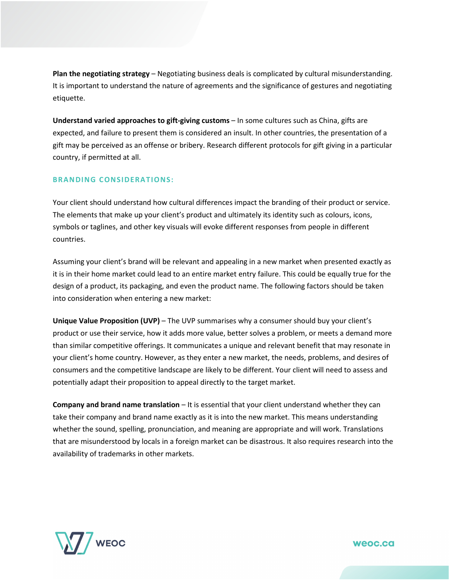**Plan the negotiating strategy** – Negotiating business deals is complicated by cultural misunderstanding. It is important to understand the nature of agreements and the significance of gestures and negotiating etiquette.

**Understand varied approaches to gift-giving customs** – In some cultures such as China, gifts are expected, and failure to present them is considered an insult. In other countries, the presentation of a gift may be perceived as an offense or bribery. Research different protocols for gift giving in a particular country, if permitted at all.

## **BRANDING CONSIDERATIONS:**

Your client should understand how cultural differences impact the branding of their product or service. The elements that make up your client's product and ultimately its identity such as colours, icons, symbols or taglines, and other key visuals will evoke different responses from people in different countries.

Assuming your client's brand will be relevant and appealing in a new market when presented exactly as it is in their home market could lead to an entire market entry failure. This could be equally true for the design of a product, its packaging, and even the product name. The following factors should be taken into consideration when entering a new market:

**Unique Value Proposition (UVP)** – The UVP summarises why a consumer should buy your client's product or use their service, how it adds more value, better solves a problem, or meets a demand more than similar competitive offerings. It communicates a unique and relevant benefit that may resonate in your client's home country. However, as they enter a new market, the needs, problems, and desires of consumers and the competitive landscape are likely to be different. Your client will need to assess and potentially adapt their proposition to appeal directly to the target market.

**Company and brand name translation** – It is essential that your client understand whether they can take their company and brand name exactly as it is into the new market. This means understanding whether the sound, spelling, pronunciation, and meaning are appropriate and will work. Translations that are misunderstood by locals in a foreign market can be disastrous. It also requires research into the availability of [trademarks](https://youtu.be/eRkPRIERiBs) in other markets.

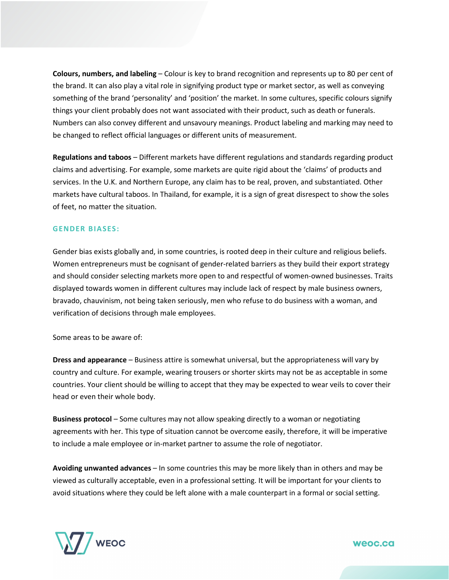**Colours, numbers, and labeling** – Colour is key to brand recognition and represents up to 80 per cent of the brand. It can also play a vital role in signifying product type or market sector, as well as conveying something of the brand 'personality' and 'position' the market. In some cultures, specific colours signify things your client probably does not want associated with their product, such as death or funerals. Numbers can also convey different and unsavoury meanings. Product labeling and marking may need to be changed to reflect official languages or different units of measurement.

**Regulations and taboos** – Different markets have different regulations and standards regarding product claims and advertising. For example, some markets are quite rigid about the 'claims' of products and services. In the U.K. and Northern Europe, any claim has to be real, proven, and substantiated. Other markets have cultural taboos. In Thailand, for example, it is a sign of great disrespect to show the soles of feet, no matter the situation.

## **GENDER BIASES:**

Gender bias exists globally and, in some countries, is rooted deep in their culture and religious beliefs. Women entrepreneurs must be cognisant of gender-related barriers as they build their export strategy and should consider selecting markets more open to and respectful of women-owned businesses. Traits displayed towards women in different cultures may include lack of respect by male business owners, bravado, chauvinism, not being taken seriously, men who refuse to do business with a woman, and verification of decisions through male employees.

Some areas to be aware of:

**Dress and appearance** – Business attire is somewhat universal, but the appropriateness will vary by country and culture. For example, wearing trousers or shorter skirts may not be as acceptable in some countries. Your client should be willing to accept that they may be expected to wear veils to cover their head or even their whole body.

**Business protocol** – Some cultures may not allow speaking directly to a woman or negotiating agreements with her. This type of situation cannot be overcome easily, therefore, it will be imperative to include a male employee or in-market partner to assume the role of negotiator.

**Avoiding unwanted advances** – In some countries this may be more likely than in others and may be viewed as culturally acceptable, even in a professional setting. It will be important for your clients to avoid situations where they could be left alone with a male counterpart in a formal or social setting.